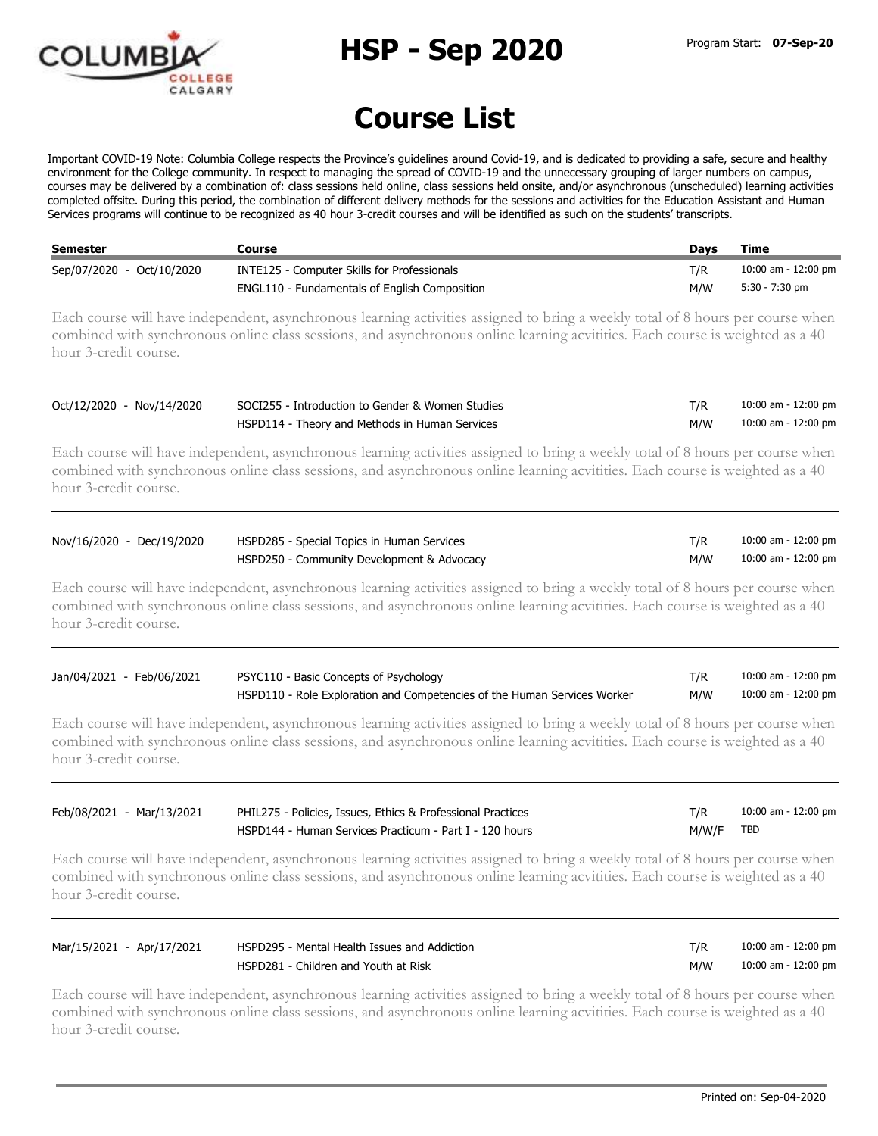

**HSP - Sep 2020** Program Start: **07-Sep-20**

## **Course List**

Important COVID-19 Note: Columbia College respects the Province's guidelines around Covid-19, and is dedicated to providing a safe, secure and healthy environment for the College community. In respect to managing the spread of COVID-19 and the unnecessary grouping of larger numbers on campus, courses may be delivered by a combination of: class sessions held online, class sessions held onsite, and/or asynchronous (unscheduled) learning activities completed offsite. During this period, the combination of different delivery methods for the sessions and activities for the Education Assistant and Human Services programs will continue to be recognized as 40 hour 3-credit courses and will be identified as such on the students' transcripts.

| Semester                  | Course                                               | Davs | Time                |
|---------------------------|------------------------------------------------------|------|---------------------|
| Sep/07/2020 - Oct/10/2020 | INTE125 - Computer Skills for Professionals          | T/R  | 10:00 am - 12:00 pm |
|                           | <b>ENGL110 - Fundamentals of English Composition</b> | M/W  | 5:30 - 7:30 pm      |

Each course will have independent, asynchronous learning activities assigned to bring a weekly total of 8 hours per course when combined with synchronous online class sessions, and asynchronous online learning acvitities. Each course is weighted as a 40 hour 3-credit course.

| Oct/12/2020 - Nov/14/2020 | SOCI255 - Introduction to Gender & Women Studies |     | 10:00 am - 12:00 pm |
|---------------------------|--------------------------------------------------|-----|---------------------|
|                           | HSPD114 - Theory and Methods in Human Services   | M/W | 10:00 am - 12:00 pm |

Each course will have independent, asynchronous learning activities assigned to bring a weekly total of 8 hours per course when combined with synchronous online class sessions, and asynchronous online learning acvitities. Each course is weighted as a 40 hour 3-credit course.

| Nov/16/2020 - Dec/19/2020 | HSPD285 - Special Topics in Human Services |     | 10:00 am - 12:00 pm |
|---------------------------|--------------------------------------------|-----|---------------------|
|                           | HSPD250 - Community Development & Advocacy | M/W | 10:00 am - 12:00 pm |

Each course will have independent, asynchronous learning activities assigned to bring a weekly total of 8 hours per course when combined with synchronous online class sessions, and asynchronous online learning acvitities. Each course is weighted as a 40 hour 3-credit course.

| Jan/04/2021 - Feb/06/2021 | PSYC110 - Basic Concepts of Psychology                                   |     | 10:00 am - 12:00 pm |
|---------------------------|--------------------------------------------------------------------------|-----|---------------------|
|                           | HSPD110 - Role Exploration and Competencies of the Human Services Worker | M/W | 10:00 am - 12:00 pm |

Each course will have independent, asynchronous learning activities assigned to bring a weekly total of 8 hours per course when combined with synchronous online class sessions, and asynchronous online learning acvitities. Each course is weighted as a 40 hour 3-credit course.

| Feb/08/2021 - Mar/13/2021 | PHIL275 - Policies, Issues, Ethics & Professional Practices |           | 10:00 am - 12:00 pm |
|---------------------------|-------------------------------------------------------------|-----------|---------------------|
|                           | HSPD144 - Human Services Practicum - Part I - 120 hours     | M/W/F TBD |                     |

Each course will have independent, asynchronous learning activities assigned to bring a weekly total of 8 hours per course when combined with synchronous online class sessions, and asynchronous online learning acvitities. Each course is weighted as a 40 hour 3-credit course.

| Mar/15/2021 - Apr/17/2021 | HSPD295 - Mental Health Issues and Addiction |     | 10:00 am - 12:00 pm |
|---------------------------|----------------------------------------------|-----|---------------------|
|                           | HSPD281 - Children and Youth at Risk         | M/W | 10:00 am - 12:00 pm |

Each course will have independent, asynchronous learning activities assigned to bring a weekly total of 8 hours per course when combined with synchronous online class sessions, and asynchronous online learning acvitities. Each course is weighted as a 40 hour 3-credit course.